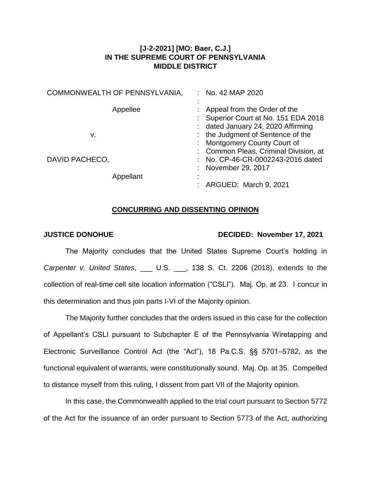# **[J-2-2021] [MO: Baer, C.J.] IN THE SUPREME COURT OF PENNSYLVANIA MIDDLE DISTRICT**

| COMMONWEALTH OF PENNSYLVANIA, | No. 42 MAP 2020                                                                                        |
|-------------------------------|--------------------------------------------------------------------------------------------------------|
| Appellee                      | Appeal from the Order of the<br>Superior Court at No. 151 EDA 2018<br>dated January 24, 2020 Affirming |
| v.                            | the Judgment of Sentence of the                                                                        |
|                               | : Montgomery County Court of<br>: Common Pleas, Criminal Division, at                                  |
| DAVID PACHECO,                | No. CP-46-CR-0002243-2016 dated                                                                        |
| Appellant                     | November 29, 2017                                                                                      |
|                               | ARGUED: March 9, 2021                                                                                  |

## **CONCURRING AND DISSENTING OPINION**

## **JUSTICE DONOHUE DECIDED: November 17, 2021**

The Majority concludes that the United States Supreme Court's holding in *Carpenter v. United States*, \_\_\_ U.S. \_\_\_, 138 S. Ct. 2206 (2018), extends to the collection of real-time cell site location information ("CSLI"). Maj. Op. at 23. I concur in this determination and thus join parts I-VI of the Majority opinion.

The Majority further concludes that the orders issued in this case for the collection of Appellant's CSLI pursuant to Subchapter E of the Pennsylvania Wiretapping and Electronic Surveillance Control Act (the "Act"), 18 Pa.C.S. §§ 5701–5782, as the functional equivalent of warrants, were constitutionally sound. Maj. Op. at 35. Compelled to distance myself from this ruling, I dissent from part VII of the Majority opinion.

In this case, the Commonwealth applied to the trial court pursuant to Section 5772 of the Act for the issuance of an order pursuant to Section 5773 of the Act, authorizing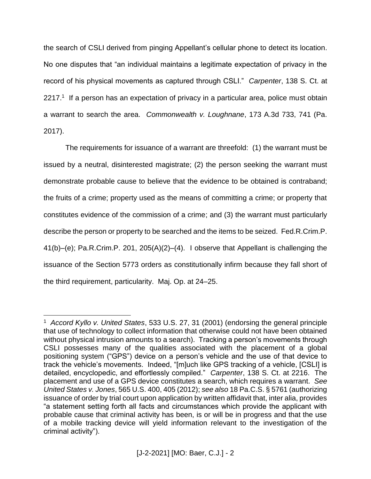the search of CSLI derived from pinging Appellant's cellular phone to detect its location. No one disputes that "an individual maintains a legitimate expectation of privacy in the record of his physical movements as captured through CSLI." *Carpenter*, 138 S. Ct. at 2217.<sup>1</sup> If a person has an expectation of privacy in a particular area, police must obtain a warrant to search the area. *Commonwealth v. Loughnane*, 173 A.3d 733, 741 (Pa. 2017).

The requirements for issuance of a warrant are threefold: (1) the warrant must be issued by a neutral, disinterested magistrate; (2) the person seeking the warrant must demonstrate probable cause to believe that the evidence to be obtained is contraband; the fruits of a crime; property used as the means of committing a crime; or property that constitutes evidence of the commission of a crime; and (3) the warrant must particularly describe the person or property to be searched and the items to be seized. Fed.R.Crim.P. 41(b)–(e); Pa.R.Crim.P. 201, 205(A)(2)–(4). I observe that Appellant is challenging the issuance of the Section 5773 orders as constitutionally infirm because they fall short of the third requirement, particularity. Maj. Op. at 24–25.

<sup>1</sup> *Accord Kyllo v. United States*, 533 U.S. 27, 31 (2001) (endorsing the general principle that use of technology to collect information that otherwise could not have been obtained without physical intrusion amounts to a search). Tracking a person's movements through CSLI possesses many of the qualities associated with the placement of a global positioning system ("GPS") device on a person's vehicle and the use of that device to track the vehicle's movements. Indeed, "[m]uch like GPS tracking of a vehicle, [CSLI] is detailed, encyclopedic, and effortlessly compiled." *Carpenter*, 138 S. Ct. at 2216. The placement and use of a GPS device constitutes a search, which requires a warrant. *See United States v. Jones*, 565 U.S. 400, 405 (2012); *see also* 18 Pa.C.S. § 5761 (authorizing issuance of order by trial court upon application by written affidavit that, inter alia, provides "a statement setting forth all facts and circumstances which provide the applicant with probable cause that criminal activity has been, is or will be in progress and that the use of a mobile tracking device will yield information relevant to the investigation of the criminal activity").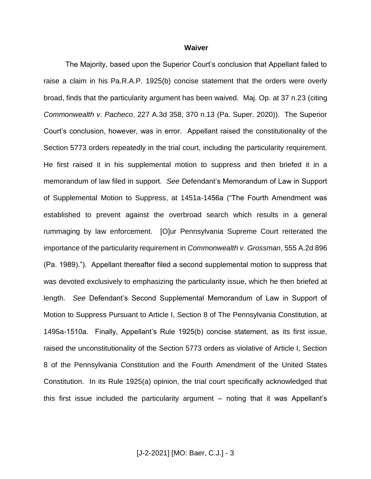#### **Waiver**

The Majority, based upon the Superior Court's conclusion that Appellant failed to raise a claim in his Pa.R.A.P. 1925(b) concise statement that the orders were overly broad, finds that the particularity argument has been waived. Maj. Op. at 37 n.23 (citing *Commonwealth v. Pacheco*, 227 A.3d 358, 370 n.13 (Pa. Super. 2020)). The Superior Court's conclusion, however, was in error. Appellant raised the constitutionality of the Section 5773 orders repeatedly in the trial court, including the particularity requirement. He first raised it in his supplemental motion to suppress and then briefed it in a memorandum of law filed in support. *See* Defendant's Memorandum of Law in Support of Supplemental Motion to Suppress, at 1451a-1456a ("The Fourth Amendment was established to prevent against the overbroad search which results in a general rummaging by law enforcement. [O]ur Pennsylvania Supreme Court reiterated the importance of the particularity requirement in *Commonwealth v. Grossman*, 555 A.2d 896 (Pa. 1989)."). Appellant thereafter filed a second supplemental motion to suppress that was devoted exclusively to emphasizing the particularity issue, which he then briefed at length. *See* Defendant's Second Supplemental Memorandum of Law in Support of Motion to Suppress Pursuant to Article I, Section 8 of The Pennsylvania Constitution, at 1495a-1510a. Finally, Appellant's Rule 1925(b) concise statement, as its first issue, raised the unconstitutionality of the Section 5773 orders as violative of Article I, Section 8 of the Pennsylvania Constitution and the Fourth Amendment of the United States Constitution. In its Rule 1925(a) opinion, the trial court specifically acknowledged that this first issue included the particularity argument – noting that it was Appellant's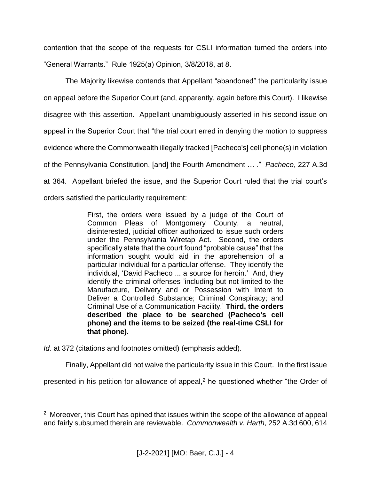contention that the scope of the requests for CSLI information turned the orders into "General Warrants." Rule 1925(a) Opinion, 3/8/2018, at 8.

The Majority likewise contends that Appellant "abandoned" the particularity issue on appeal before the Superior Court (and, apparently, again before this Court). I likewise disagree with this assertion. Appellant unambiguously asserted in his second issue on appeal in the Superior Court that "the trial court erred in denying the motion to suppress evidence where the Commonwealth illegally tracked [Pacheco's] cell phone(s) in violation of the Pennsylvania Constitution, [and] the Fourth Amendment … ." *Pacheco*, 227 A.3d at 364. Appellant briefed the issue, and the Superior Court ruled that the trial court's orders satisfied the particularity requirement:

> First, the orders were issued by a judge of the Court of Common Pleas of Montgomery County, a neutral, disinterested, judicial officer authorized to issue such orders under the Pennsylvania Wiretap Act. Second, the orders specifically state that the court found "probable cause" that the information sought would aid in the apprehension of a particular individual for a particular offense. They identify the individual, 'David Pacheco ... a source for heroin.' And, they identify the criminal offenses 'including but not limited to the Manufacture, Delivery and or Possession with Intent to Deliver a Controlled Substance; Criminal Conspiracy; and Criminal Use of a Communication Facility.' **Third, the orders described the place to be searched (Pacheco's cell phone) and the items to be seized (the real-time CSLI for that phone).**

*Id.* at 372 (citations and footnotes omitted) (emphasis added).

 $\overline{a}$ 

Finally, Appellant did not waive the particularity issue in this Court. In the first issue

presented in his petition for allowance of appeal, $<sup>2</sup>$  he questioned whether "the Order of</sup>

<sup>&</sup>lt;sup>2</sup> Moreover, this Court has opined that issues within the scope of the allowance of appeal and fairly subsumed therein are reviewable. *Commonwealth v. Harth*, 252 A.3d 600, 614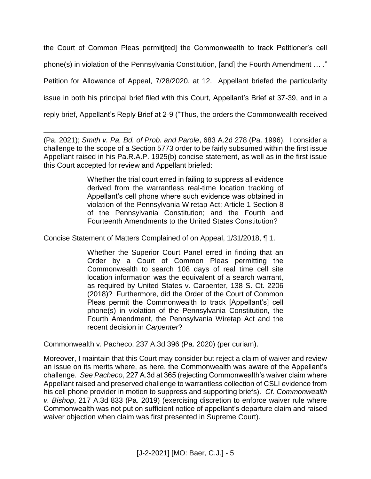the Court of Common Pleas permit[ted] the Commonwealth to track Petitioner's cell phone(s) in violation of the Pennsylvania Constitution, [and] the Fourth Amendment … ." Petition for Allowance of Appeal, 7/28/2020, at 12. Appellant briefed the particularity issue in both his principal brief filed with this Court, Appellant's Brief at 37-39, and in a reply brief, Appellant's Reply Brief at 2-9 ("Thus, the orders the Commonwealth received

Whether the trial court erred in failing to suppress all evidence derived from the warrantless real-time location tracking of Appellant's cell phone where such evidence was obtained in violation of the Pennsylvania Wiretap Act; Article 1 Section 8 of the Pennsylvania Constitution; and the Fourth and Fourteenth Amendments to the United States Constitution?

Concise Statement of Matters Complained of on Appeal, 1/31/2018, ¶ 1.

Whether the Superior Court Panel erred in finding that an Order by a Court of Common Pleas permitting the Commonwealth to search 108 days of real time cell site location information was the equivalent of a search warrant, as required by United States v. Carpenter, 138 S. Ct. 2206 (2018)? Furthermore, did the Order of the Court of Common Pleas permit the Commonwealth to track [Appellant's] cell phone(s) in violation of the Pennsylvania Constitution, the Fourth Amendment, the Pennsylvania Wiretap Act and the recent decision in *Carpenter*?

Commonwealth v. Pacheco, 237 A.3d 396 (Pa. 2020) (per curiam).

Moreover, I maintain that this Court may consider but reject a claim of waiver and review an issue on its merits where, as here, the Commonwealth was aware of the Appellant's challenge. *See Pacheco*, 227 A.3d at 365 (rejecting Commonwealth's waiver claim where Appellant raised and preserved challenge to warrantless collection of CSLI evidence from his cell phone provider in motion to suppress and supporting briefs). *Cf. Commonwealth v. Bishop*, 217 A.3d 833 (Pa. 2019) (exercising discretion to enforce waiver rule where Commonwealth was not put on sufficient notice of appellant's departure claim and raised waiver objection when claim was first presented in Supreme Court).

 $\overline{a}$ (Pa. 2021); *Smith v. Pa. Bd. of Prob. and Parole*, 683 A.2d 278 (Pa. 1996). I consider a challenge to the scope of a Section 5773 order to be fairly subsumed within the first issue Appellant raised in his Pa.R.A.P. 1925(b) concise statement, as well as in the first issue this Court accepted for review and Appellant briefed: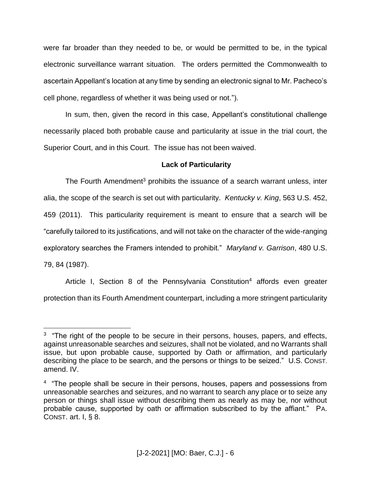were far broader than they needed to be, or would be permitted to be, in the typical electronic surveillance warrant situation. The orders permitted the Commonwealth to ascertain Appellant's location at any time by sending an electronic signal to Mr. Pacheco's cell phone, regardless of whether it was being used or not.").

In sum, then, given the record in this case, Appellant's constitutional challenge necessarily placed both probable cause and particularity at issue in the trial court, the Superior Court, and in this Court. The issue has not been waived.

## **Lack of Particularity**

The Fourth Amendment<sup>3</sup> prohibits the issuance of a search warrant unless, inter alia, the scope of the search is set out with particularity. *Kentucky v. King*, 563 U.S. 452, 459 (2011). This particularity requirement is meant to ensure that a search will be "carefully tailored to its justifications, and will not take on the character of the wide-ranging exploratory searches the Framers intended to prohibit." *Maryland v. Garrison*, 480 U.S. 79, 84 (1987).

Article I, Section 8 of the Pennsylvania Constitution<sup>4</sup> affords even greater protection than its Fourth Amendment counterpart, including a more stringent particularity

<sup>&</sup>lt;sup>3</sup> "The right of the people to be secure in their persons, houses, papers, and effects, against unreasonable searches and seizures, shall not be violated, and no Warrants shall issue, but upon probable cause, supported by Oath or affirmation, and particularly describing the place to be search, and the persons or things to be seized." U.S. CONST. amend. IV.

<sup>&</sup>lt;sup>4</sup> "The people shall be secure in their persons, houses, papers and possessions from unreasonable searches and seizures, and no warrant to search any place or to seize any person or things shall issue without describing them as nearly as may be, nor without probable cause, supported by oath or affirmation subscribed to by the affiant." PA. CONST. art. I, § 8.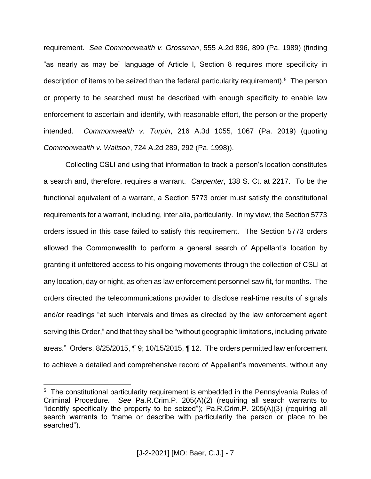requirement. *See Commonwealth v. Grossman*, 555 A.2d 896, 899 (Pa. 1989) (finding "as nearly as may be" language of Article I, Section 8 requires more specificity in description of items to be seized than the federal particularity requirement).<sup>5</sup> The person or property to be searched must be described with enough specificity to enable law enforcement to ascertain and identify, with reasonable effort, the person or the property intended. *Commonwealth v. Turpin*, 216 A.3d 1055, 1067 (Pa. 2019) (quoting *Commonwealth v. Waltson*, 724 A.2d 289, 292 (Pa. 1998)).

Collecting CSLI and using that information to track a person's location constitutes a search and, therefore, requires a warrant. *Carpenter*, 138 S. Ct. at 2217. To be the functional equivalent of a warrant, a Section 5773 order must satisfy the constitutional requirements for a warrant, including, inter alia, particularity. In my view, the Section 5773 orders issued in this case failed to satisfy this requirement. The Section 5773 orders allowed the Commonwealth to perform a general search of Appellant's location by granting it unfettered access to his ongoing movements through the collection of CSLI at any location, day or night, as often as law enforcement personnel saw fit, for months. The orders directed the telecommunications provider to disclose real-time results of signals and/or readings "at such intervals and times as directed by the law enforcement agent serving this Order," and that they shall be "without geographic limitations, including private areas." Orders, 8/25/2015, ¶ 9; 10/15/2015, ¶ 12. The orders permitted law enforcement to achieve a detailed and comprehensive record of Appellant's movements, without any

<sup>&</sup>lt;sup>5</sup> The constitutional particularity requirement is embedded in the Pennsylvania Rules of Criminal Procedure*. See* Pa.R.Crim.P. 205(A)(2) (requiring all search warrants to "identify specifically the property to be seized");  $\overline{Pa.R.Crim.P.}$  205(A)(3) (requiring all search warrants to "name or describe with particularity the person or place to be searched").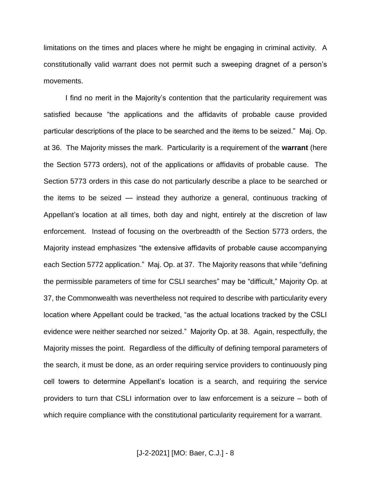limitations on the times and places where he might be engaging in criminal activity. A constitutionally valid warrant does not permit such a sweeping dragnet of a person's movements.

I find no merit in the Majority's contention that the particularity requirement was satisfied because "the applications and the affidavits of probable cause provided particular descriptions of the place to be searched and the items to be seized." Maj. Op. at 36. The Majority misses the mark. Particularity is a requirement of the **warrant** (here the Section 5773 orders), not of the applications or affidavits of probable cause. The Section 5773 orders in this case do not particularly describe a place to be searched or the items to be seized — instead they authorize a general, continuous tracking of Appellant's location at all times, both day and night, entirely at the discretion of law enforcement. Instead of focusing on the overbreadth of the Section 5773 orders, the Majority instead emphasizes "the extensive affidavits of probable cause accompanying each Section 5772 application." Maj. Op. at 37. The Majority reasons that while "defining the permissible parameters of time for CSLI searches" may be "difficult," Majority Op. at 37, the Commonwealth was nevertheless not required to describe with particularity every location where Appellant could be tracked, "as the actual locations tracked by the CSLI evidence were neither searched nor seized." Majority Op. at 38. Again, respectfully, the Majority misses the point. Regardless of the difficulty of defining temporal parameters of the search, it must be done, as an order requiring service providers to continuously ping cell towers to determine Appellant's location is a search, and requiring the service providers to turn that CSLI information over to law enforcement is a seizure – both of which require compliance with the constitutional particularity requirement for a warrant.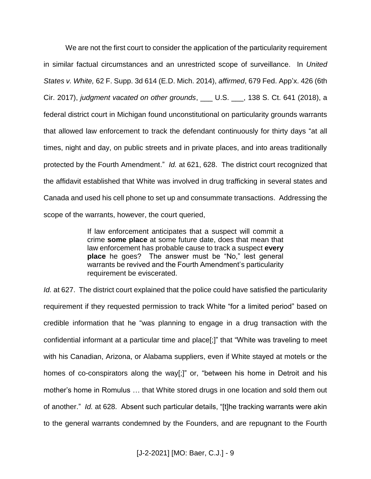We are not the first court to consider the application of the particularity requirement in similar factual circumstances and an unrestricted scope of surveillance. In *United States v. White,* 62 F. Supp. 3d 614 (E.D. Mich. 2014), *affirmed*, 679 Fed. App'x. 426 (6th Cir. 2017), *judgment vacated on other grounds*, \_\_\_ U.S. \_\_\_, 138 S. Ct. 641 (2018), a federal district court in Michigan found unconstitutional on particularity grounds warrants that allowed law enforcement to track the defendant continuously for thirty days "at all times, night and day, on public streets and in private places, and into areas traditionally protected by the Fourth Amendment." *Id.* at 621, 628. The district court recognized that the affidavit established that White was involved in drug trafficking in several states and Canada and used his cell phone to set up and consummate transactions. Addressing the scope of the warrants, however, the court queried,

> If law enforcement anticipates that a suspect will commit a crime **some place** at some future date, does that mean that law enforcement has probable cause to track a suspect **every place** he goes? The answer must be "No," lest general warrants be revived and the Fourth Amendment's particularity requirement be eviscerated.

*Id.* at 627. The district court explained that the police could have satisfied the particularity requirement if they requested permission to track White "for a limited period" based on credible information that he "was planning to engage in a drug transaction with the confidential informant at a particular time and place[;]" that "White was traveling to meet with his Canadian, Arizona, or Alabama suppliers, even if White stayed at motels or the homes of co-conspirators along the way[;]" or, "between his home in Detroit and his mother's home in Romulus … that White stored drugs in one location and sold them out of another." *Id.* at 628. Absent such particular details, "[t]he tracking warrants were akin to the general warrants condemned by the Founders, and are repugnant to the Fourth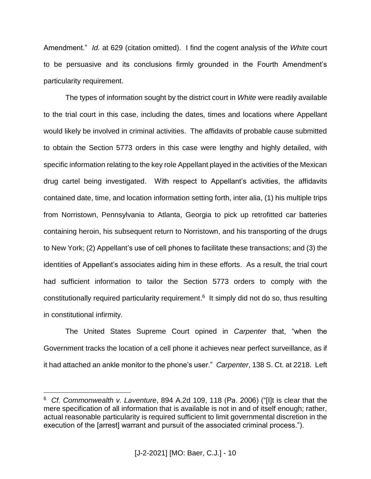Amendment." *Id.* at 629 (citation omitted). I find the cogent analysis of the *White* court to be persuasive and its conclusions firmly grounded in the Fourth Amendment's particularity requirement.

The types of information sought by the district court in *White* were readily available to the trial court in this case, including the dates, times and locations where Appellant would likely be involved in criminal activities. The affidavits of probable cause submitted to obtain the Section 5773 orders in this case were lengthy and highly detailed, with specific information relating to the key role Appellant played in the activities of the Mexican drug cartel being investigated. With respect to Appellant's activities, the affidavits contained date, time, and location information setting forth, inter alia, (1) his multiple trips from Norristown, Pennsylvania to Atlanta, Georgia to pick up retrofitted car batteries containing heroin, his subsequent return to Norristown, and his transporting of the drugs to New York; (2) Appellant's use of cell phones to facilitate these transactions; and (3) the identities of Appellant's associates aiding him in these efforts. As a result, the trial court had sufficient information to tailor the Section 5773 orders to comply with the constitutionally required particularity requirement.<sup>6</sup> It simply did not do so, thus resulting in constitutional infirmity.

The United States Supreme Court opined in *Carpenter* that, "when the Government tracks the location of a cell phone it achieves near perfect surveillance, as if it had attached an ankle monitor to the phone's user." *Carpenter*, 138 S. Ct. at 2218. Left

<sup>6</sup> *Cf. Commonwealth v. Laventure*, 894 A.2d 109, 118 (Pa. 2006) ("[I]t is clear that the mere specification of all information that is available is not in and of itself enough; rather, actual reasonable particularity is required sufficient to limit governmental discretion in the execution of the [arrest] warrant and pursuit of the associated criminal process.").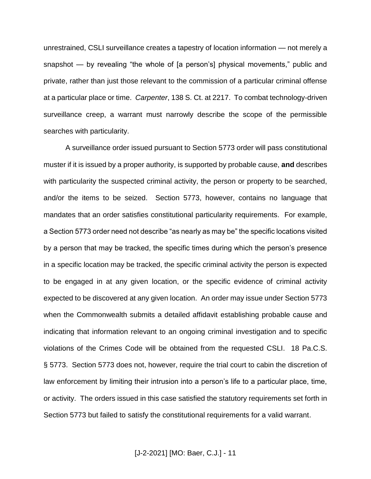unrestrained, CSLI surveillance creates a tapestry of location information — not merely a snapshot — by revealing "the whole of [a person's] physical movements," public and private, rather than just those relevant to the commission of a particular criminal offense at a particular place or time. *Carpenter*, 138 S. Ct. at 2217. To combat technology-driven surveillance creep, a warrant must narrowly describe the scope of the permissible searches with particularity.

A surveillance order issued pursuant to Section 5773 order will pass constitutional muster if it is issued by a proper authority, is supported by probable cause, **and** describes with particularity the suspected criminal activity, the person or property to be searched, and/or the items to be seized. Section 5773, however, contains no language that mandates that an order satisfies constitutional particularity requirements. For example, a Section 5773 order need not describe "as nearly as may be" the specific locations visited by a person that may be tracked, the specific times during which the person's presence in a specific location may be tracked, the specific criminal activity the person is expected to be engaged in at any given location, or the specific evidence of criminal activity expected to be discovered at any given location. An order may issue under Section 5773 when the Commonwealth submits a detailed affidavit establishing probable cause and indicating that information relevant to an ongoing criminal investigation and to specific violations of the Crimes Code will be obtained from the requested CSLI. 18 Pa.C.S. § 5773. Section 5773 does not, however, require the trial court to cabin the discretion of law enforcement by limiting their intrusion into a person's life to a particular place, time, or activity. The orders issued in this case satisfied the statutory requirements set forth in Section 5773 but failed to satisfy the constitutional requirements for a valid warrant.